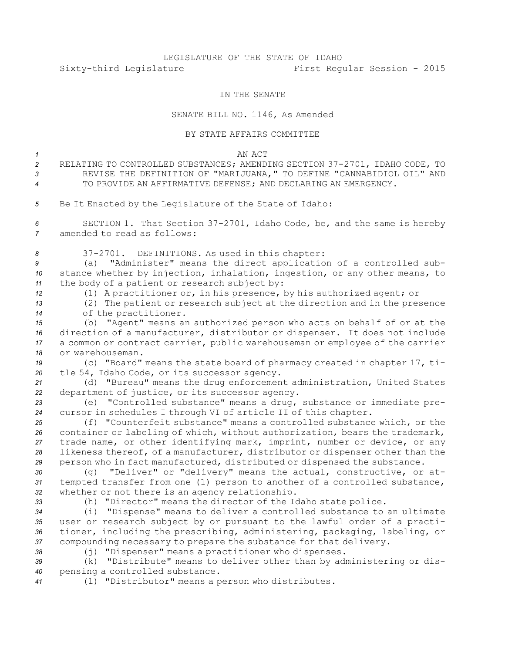## LEGISLATURE OF THE STATE OF IDAHO Sixty-third Legislature First Regular Session - 2015

## IN THE SENATE

## SENATE BILL NO. 1146, As Amended

## BY STATE AFFAIRS COMMITTEE

*1* AN ACT

*<sup>2</sup>* RELATING TO CONTROLLED SUBSTANCES; AMENDING SECTION 37-2701, IDAHO CODE, TO *3* REVISE THE DEFINITION OF "MARIJUANA," TO DEFINE "CANNABIDIOL OIL" AND *4* TO PROVIDE AN AFFIRMATIVE DEFENSE; AND DECLARING AN EMERGENCY.

*<sup>5</sup>* Be It Enacted by the Legislature of the State of Idaho:

*<sup>6</sup>* SECTION 1. That Section 37-2701, Idaho Code, be, and the same is hereby *7* amended to read as follows:

*<sup>8</sup>* 37-2701. DEFINITIONS. As used in this chapter:

*<sup>9</sup>* (a) "Administer" means the direct application of <sup>a</sup> controlled sub-*<sup>10</sup>* stance whether by injection, inhalation, ingestion, or any other means, to *<sup>11</sup>* the body of <sup>a</sup> patient or research subject by:

*<sup>12</sup>* (1) <sup>A</sup> practitioner or, in his presence, by his authorized agent; or

*<sup>13</sup>* (2) The patient or research subject at the direction and in the presence *<sup>14</sup>* of the practitioner.

 (b) "Agent" means an authorized person who acts on behalf of or at the direction of <sup>a</sup> manufacturer, distributor or dispenser. It does not include <sup>a</sup> common or contract carrier, public warehouseman or employee of the carrier or warehouseman.

*<sup>19</sup>* (c) "Board" means the state board of pharmacy created in chapter 17, ti-*<sup>20</sup>* tle 54, Idaho Code, or its successor agency.

*<sup>21</sup>* (d) "Bureau" means the drug enforcement administration, United States *<sup>22</sup>* department of justice, or its successor agency.

*<sup>23</sup>* (e) "Controlled substance" means <sup>a</sup> drug, substance or immediate pre-*<sup>24</sup>* cursor in schedules <sup>I</sup> through VI of article II of this chapter.

 (f) "Counterfeit substance" means <sup>a</sup> controlled substance which, or the container or labeling of which, without authorization, bears the trademark, trade name, or other identifying mark, imprint, number or device, or any likeness thereof, of <sup>a</sup> manufacturer, distributor or dispenser other than the person who in fact manufactured, distributed or dispensed the substance.

*<sup>30</sup>* (g) "Deliver" or "delivery" means the actual, constructive, or at-*<sup>31</sup>* tempted transfer from one (1) person to another of <sup>a</sup> controlled substance, *<sup>32</sup>* whether or not there is an agency relationship.

*<sup>33</sup>* (h) "Director" means the director of the Idaho state police.

 (i) "Dispense" means to deliver <sup>a</sup> controlled substance to an ultimate user or research subject by or pursuant to the lawful order of <sup>a</sup> practi- tioner, including the prescribing, administering, packaging, labeling, or compounding necessary to prepare the substance for that delivery.

*<sup>38</sup>* (j) "Dispenser" means <sup>a</sup> practitioner who dispenses.

*<sup>39</sup>* (k) "Distribute" means to deliver other than by administering or dis-*<sup>40</sup>* pensing <sup>a</sup> controlled substance.

*<sup>41</sup>* (l) "Distributor" means <sup>a</sup> person who distributes.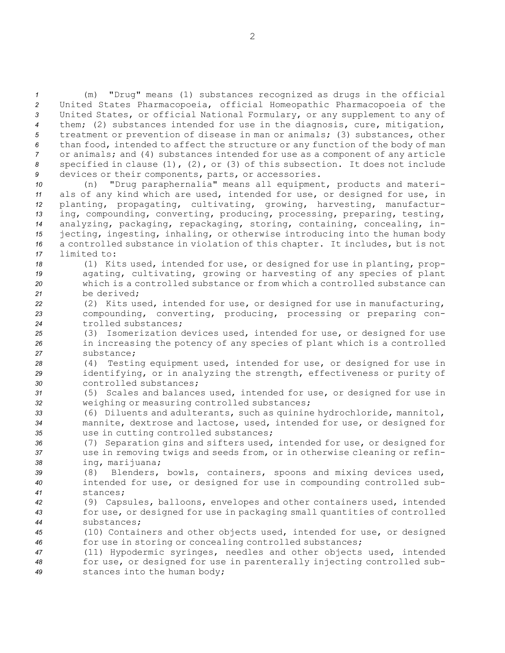(m) "Drug" means (1) substances recognized as drugs in the official United States Pharmacopoeia, official Homeopathic Pharmacopoeia of the United States, or official National Formulary, or any supplement to any of them; (2) substances intended for use in the diagnosis, cure, mitigation, treatment or prevention of disease in man or animals; (3) substances, other than food, intended to affect the structure or any function of the body of man or animals; and (4) substances intended for use as <sup>a</sup> component of any article specified in clause (1), (2), or (3) of this subsection. It does not include devices or their components, parts, or accessories.

 (n) "Drug paraphernalia" means all equipment, products and materi- als of any kind which are used, intended for use, or designed for use, in planting, propagating, cultivating, growing, harvesting, manufactur- ing, compounding, converting, producing, processing, preparing, testing, analyzing, packaging, repackaging, storing, containing, concealing, in- jecting, ingesting, inhaling, or otherwise introducing into the human body <sup>a</sup> controlled substance in violation of this chapter. It includes, but is not limited to:

 (1) Kits used, intended for use, or designed for use in planting, prop- agating, cultivating, growing or harvesting of any species of plant which is <sup>a</sup> controlled substance or from which <sup>a</sup> controlled substance can be derived;

*<sup>22</sup>* (2) Kits used, intended for use, or designed for use in manufacturing, *<sup>23</sup>* compounding, converting, producing, processing or preparing con-*24* trolled substances;

*<sup>25</sup>* (3) Isomerization devices used, intended for use, or designed for use *<sup>26</sup>* in increasing the potency of any species of plant which is <sup>a</sup> controlled *27* substance;

*<sup>28</sup>* (4) Testing equipment used, intended for use, or designed for use in *<sup>29</sup>* identifying, or in analyzing the strength, effectiveness or purity of *30* controlled substances;

*<sup>31</sup>* (5) Scales and balances used, intended for use, or designed for use in *<sup>32</sup>* weighing or measuring controlled substances;

*<sup>33</sup>* (6) Diluents and adulterants, such as quinine hydrochloride, mannitol, *<sup>34</sup>* mannite, dextrose and lactose, used, intended for use, or designed for *<sup>35</sup>* use in cutting controlled substances;

*<sup>36</sup>* (7) Separation gins and sifters used, intended for use, or designed for *<sup>37</sup>* use in removing twigs and seeds from, or in otherwise cleaning or refin-*<sup>38</sup>* ing, marijuana;

*<sup>39</sup>* (8) Blenders, bowls, containers, spoons and mixing devices used, *<sup>40</sup>* intended for use, or designed for use in compounding controlled sub-*41* stances;

*<sup>42</sup>* (9) Capsules, balloons, envelopes and other containers used, intended *<sup>43</sup>* for use, or designed for use in packaging small quantities of controlled *44* substances;

*<sup>45</sup>* (10) Containers and other objects used, intended for use, or designed *<sup>46</sup>* for use in storing or concealing controlled substances;

*<sup>47</sup>* (11) Hypodermic syringes, needles and other objects used, intended *<sup>48</sup>* for use, or designed for use in parenterally injecting controlled sub-*<sup>49</sup>* stances into the human body;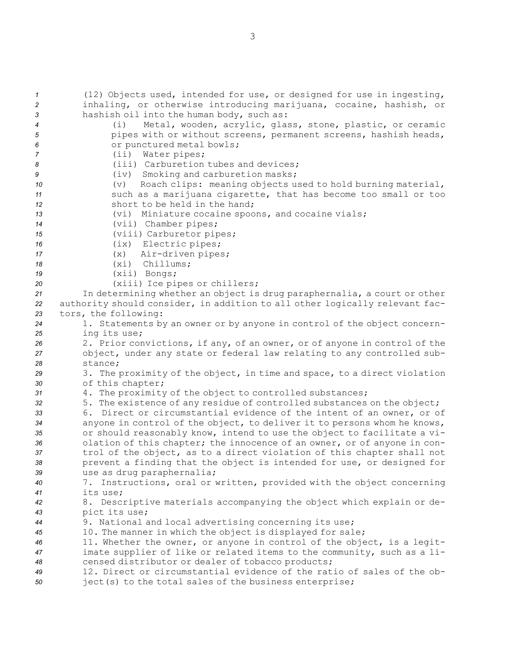(12) Objects used, intended for use, or designed for use in ingesting, inhaling, or otherwise introducing marijuana, cocaine, hashish, or hashish oil into the human body, such as: (i) Metal, wooden, acrylic, glass, stone, plastic, or ceramic **12** pipes with or without screens, permanent screens, hashish heads, or punctured metal bowls; (ii) Water pipes; (iii) Carburetion tubes and devices; (iv) Smoking and carburetion masks; (v) Roach clips: meaning objects used to hold burning material, such as <sup>a</sup> marijuana cigarette, that has become too small or too short to be held in the hand; (vi) Miniature cocaine spoons, and cocaine vials; (vii) Chamber pipes; (viii) Carburetor pipes; (ix) Electric pipes; (x) Air-driven pipes; (xi) Chillums; (xii) Bongs; (xiii) Ice pipes or chillers; In determining whether an object is drug paraphernalia, <sup>a</sup> court or other authority should consider, in addition to all other logically relevant fac- tors, the following: 1. Statements by an owner or by anyone in control of the object concern- ing its use; 2. Prior convictions, if any, of an owner, or of anyone in control of the object, under any state or federal law relating to any controlled sub-*28* stance; 3. The proximity of the object, in time and space, to <sup>a</sup> direct violation of this chapter; 4. The proximity of the object to controlled substances; 5. The existence of any residue of controlled substances on the object; 6. Direct or circumstantial evidence of the intent of an owner, or of anyone in control of the object, to deliver it to persons whom he knows, or should reasonably know, intend to use the object to facilitate <sup>a</sup> vi- olation of this chapter; the innocence of an owner, or of anyone in con- trol of the object, as to <sup>a</sup> direct violation of this chapter shall not prevent <sup>a</sup> finding that the object is intended for use, or designed for use as drug paraphernalia; 7. Instructions, oral or written, provided with the object concerning *41* its use; 8. Descriptive materials accompanying the object which explain or de- pict its use; 9. National and local advertising concerning its use; 10. The manner in which the object is displayed for sale; 11. Whether the owner, or anyone in control of the object, is <sup>a</sup> legit- imate supplier of like or related items to the community, such as <sup>a</sup> li- censed distributor or dealer of tobacco products; 12. Direct or circumstantial evidence of the ratio of sales of the ob-ject(s) to the total sales of the business enterprise;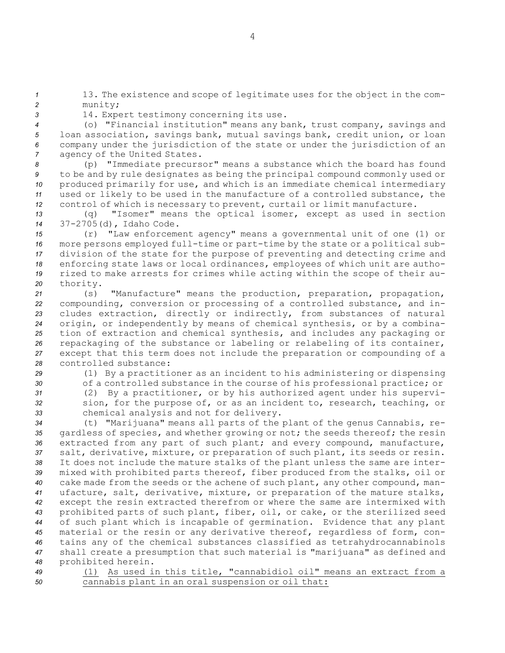*<sup>1</sup>* 13. The existence and scope of legitimate uses for the object in the com-*<sup>2</sup>* munity;

*<sup>3</sup>* 14. Expert testimony concerning its use.

 (o) "Financial institution" means any bank, trust company, savings and loan association, savings bank, mutual savings bank, credit union, or loan company under the jurisdiction of the state or under the jurisdiction of an agency of the United States.

 (p) "Immediate precursor" means <sup>a</sup> substance which the board has found to be and by rule designates as being the principal compound commonly used or produced primarily for use, and which is an immediate chemical intermediary used or likely to be used in the manufacture of <sup>a</sup> controlled substance, the control of which is necessary to prevent, curtail or limit manufacture.

*<sup>13</sup>* (q) "Isomer" means the optical isomer, except as used in section *<sup>14</sup>* 37-2705(d), Idaho Code.

 (r) "Law enforcement agency" means <sup>a</sup> governmental unit of one (1) or more persons employed full-time or part-time by the state or <sup>a</sup> political sub- division of the state for the purpose of preventing and detecting crime and enforcing state laws or local ordinances, employees of which unit are autho- rized to make arrests for crimes while acting within the scope of their au-*<sup>20</sup>* thority.

 (s) "Manufacture" means the production, preparation, propagation, compounding, conversion or processing of <sup>a</sup> controlled substance, and in- cludes extraction, directly or indirectly, from substances of natural origin, or independently by means of chemical synthesis, or by <sup>a</sup> combina- tion of extraction and chemical synthesis, and includes any packaging or repackaging of the substance or labeling or relabeling of its container, except that this term does not include the preparation or compounding of <sup>a</sup> controlled substance:

 (1) By <sup>a</sup> practitioner as an incident to his administering or dispensing of <sup>a</sup> controlled substance in the course of his professional practice; or (2) By <sup>a</sup> practitioner, or by his authorized agent under his supervi- sion, for the purpose of, or as an incident to, research, teaching, or chemical analysis and not for delivery.

 (t) "Marijuana" means all parts of the plant of the genus Cannabis, re- gardless of species, and whether growing or not; the seeds thereof; the resin extracted from any part of such plant; and every compound, manufacture, salt, derivative, mixture, or preparation of such plant, its seeds or resin. It does not include the mature stalks of the plant unless the same are inter- mixed with prohibited parts thereof, fiber produced from the stalks, oil or cake made from the seeds or the achene of such plant, any other compound, man- ufacture, salt, derivative, mixture, or preparation of the mature stalks, except the resin extracted therefrom or where the same are intermixed with prohibited parts of such plant, fiber, oil, or cake, or the sterilized seed of such plant which is incapable of germination. Evidence that any plant material or the resin or any derivative thereof, regardless of form, con- tains any of the chemical substances classified as tetrahydrocannabinols shall create <sup>a</sup> presumption that such material is "marijuana" as defined and prohibited herein.

*<sup>49</sup>* (1) As used in this title, "cannabidiol oil" means an extract from <sup>a</sup> *<sup>50</sup>* cannabis plant in an oral suspension or oil that: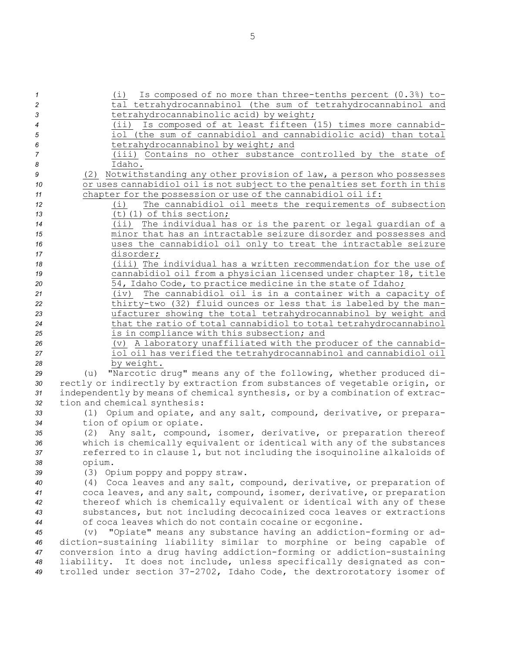(i) Is composed of no more than three-tenths percent (0.3%) to- tal tetrahydrocannabinol (the sum of tetrahydrocannabinol and tetrahydrocannabinolic acid) by weight; (ii) Is composed of at least fifteen (15) times more cannabid- iol (the sum of cannabidiol and cannabidiolic acid) than total tetrahydrocannabinol by weight; and (iii) Contains no other substance controlled by the state of *8* Idaho. (2) Notwithstanding any other provision of law, <sup>a</sup> person who possesses or uses cannabidiol oil is not subject to the penalties set forth in this chapter for the possession or use of the cannabidiol oil if: (i) The cannabidiol oil meets the requirements of subsection (t)(1) of this section; (ii) The individual has or is the parent or legal guardian of <sup>a</sup> minor that has an intractable seizure disorder and possesses and uses the cannabidiol oil only to treat the intractable seizure disorder; (iii) The individual has <sup>a</sup> written recommendation for the use of cannabidiol oil from <sup>a</sup> physician licensed under chapter 18, title 54, Idaho Code, to practice medicine in the state of Idaho; (iv) The cannabidiol oil is in <sup>a</sup> container with <sup>a</sup> capacity of thirty-two (32) fluid ounces or less that is labeled by the man- ufacturer showing the total tetrahydrocannabinol by weight and that the ratio of total cannabidiol to total tetrahydrocannabinol is in compliance with this subsection; and (v) <sup>A</sup> laboratory unaffiliated with the producer of the cannabid- iol oil has verified the tetrahydrocannabinol and cannabidiol oil by weight. (u) "Narcotic drug" means any of the following, whether produced di- rectly or indirectly by extraction from substances of vegetable origin, or independently by means of chemical synthesis, or by <sup>a</sup> combination of extrac- tion and chemical synthesis: (1) Opium and opiate, and any salt, compound, derivative, or prepara- tion of opium or opiate. (2) Any salt, compound, isomer, derivative, or preparation thereof which is chemically equivalent or identical with any of the substances referred to in clause 1, but not including the isoquinoline alkaloids of *<sup>38</sup>* opium. (3) Opium poppy and poppy straw. (4) Coca leaves and any salt, compound, derivative, or preparation of coca leaves, and any salt, compound, isomer, derivative, or preparation thereof which is chemically equivalent or identical with any of these substances, but not including decocainized coca leaves or extractions of coca leaves which do not contain cocaine or ecgonine. (v) "Opiate" means any substance having an addiction-forming or ad-diction-sustaining liability similar to morphine or being capable of

*<sup>47</sup>* conversion into <sup>a</sup> drug having addiction-forming or addiction-sustaining *<sup>48</sup>* liability. It does not include, unless specifically designated as con-*<sup>49</sup>* trolled under section 37-2702, Idaho Code, the dextrorotatory isomer of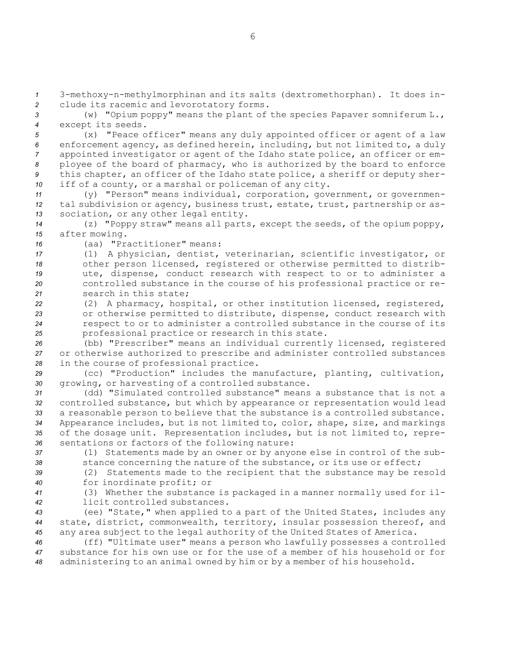*<sup>1</sup>* 3-methoxy-n-methylmorphinan and its salts (dextromethorphan). It does in-*<sup>2</sup>* clude its racemic and levorotatory forms.

*<sup>3</sup>* (w) "Opium poppy" means the plant of the species Papaver somniferum L., *<sup>4</sup>* except its seeds.

 (x) "Peace officer" means any duly appointed officer or agent of <sup>a</sup> law enforcement agency, as defined herein, including, but not limited to, <sup>a</sup> duly appointed investigator or agent of the Idaho state police, an officer or em- ployee of the board of pharmacy, who is authorized by the board to enforce this chapter, an officer of the Idaho state police, <sup>a</sup> sheriff or deputy sher-iff of <sup>a</sup> county, or <sup>a</sup> marshal or policeman of any city.

11 (y) "Person" means individual, corporation, government, or governmen-*<sup>12</sup>* tal subdivision or agency, business trust, estate, trust, partnership or as-*<sup>13</sup>* sociation, or any other legal entity.

*<sup>14</sup>* (z) "Poppy straw" means all parts, except the seeds, of the opium poppy, *<sup>15</sup>* after mowing.

*16* (aa) "Practitioner" means:

 (1) <sup>A</sup> physician, dentist, veterinarian, scientific investigator, or other person licensed, registered or otherwise permitted to distrib- ute, dispense, conduct research with respect to or to administer <sup>a</sup> controlled substance in the course of his professional practice or re-search in this state;

 (2) <sup>A</sup> pharmacy, hospital, or other institution licensed, registered, or otherwise permitted to distribute, dispense, conduct research with respect to or to administer <sup>a</sup> controlled substance in the course of its professional practice or research in this state.

*<sup>26</sup>* (bb) "Prescriber" means an individual currently licensed, registered *<sup>27</sup>* or otherwise authorized to prescribe and administer controlled substances *<sup>28</sup>* in the course of professional practice.

*<sup>29</sup>* (cc) "Production" includes the manufacture, planting, cultivation, *<sup>30</sup>* growing, or harvesting of <sup>a</sup> controlled substance.

 (dd) "Simulated controlled substance" means <sup>a</sup> substance that is not <sup>a</sup> controlled substance, but which by appearance or representation would lead <sup>a</sup> reasonable person to believe that the substance is <sup>a</sup> controlled substance. Appearance includes, but is not limited to, color, shape, size, and markings of the dosage unit. Representation includes, but is not limited to, repre-sentations or factors of the following nature:

*<sup>37</sup>* (1) Statements made by an owner or by anyone else in control of the sub-*<sup>38</sup>* stance concerning the nature of the substance, or its use or effect;

*<sup>39</sup>* (2) Statements made to the recipient that the substance may be resold *<sup>40</sup>* for inordinate profit; or

*<sup>41</sup>* (3) Whether the substance is packaged in <sup>a</sup> manner normally used for il-*42* licit controlled substances.

*<sup>43</sup>* (ee) "State," when applied to <sup>a</sup> part of the United States, includes any *<sup>44</sup>* state, district, commonwealth, territory, insular possession thereof, and *<sup>45</sup>* any area subject to the legal authority of the United States of America.

*<sup>46</sup>* (ff) "Ultimate user" means <sup>a</sup> person who lawfully possesses <sup>a</sup> controlled *47* substance for his own use or for the use of <sup>a</sup> member of his household or for *<sup>48</sup>* administering to an animal owned by him or by <sup>a</sup> member of his household.

6